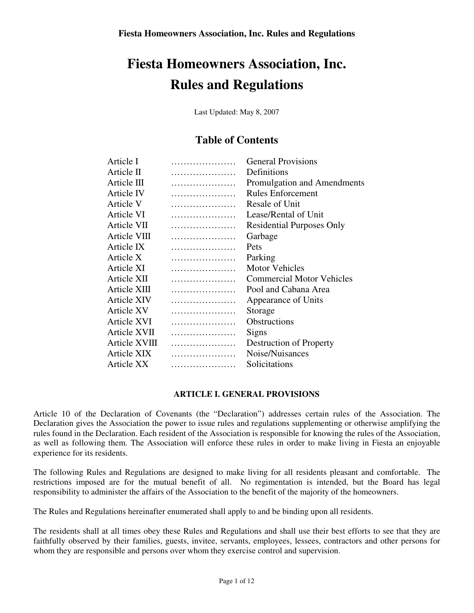Last Updated: May 8, 2007

## **Table of Contents**

| Article I     | <b>General Provisions</b>        |
|---------------|----------------------------------|
| Article II    | Definitions                      |
| Article III   | Promulgation and Amendments      |
| Article IV    | <b>Rules Enforcement</b>         |
| Article V     | Resale of Unit                   |
| Article VI    | Lease/Rental of Unit             |
| Article VII   | <b>Residential Purposes Only</b> |
| Article VIII  | Garbage                          |
| Article IX    | Pets                             |
| Article X     | Parking                          |
| Article XI    | <b>Motor Vehicles</b>            |
| Article XII   | <b>Commercial Motor Vehicles</b> |
| Article XIII  | Pool and Cabana Area             |
| Article XIV   | Appearance of Units              |
| Article XV    | Storage                          |
| Article XVI   | <b>Obstructions</b>              |
| Article XVII  | <b>Signs</b>                     |
| Article XVIII | Destruction of Property          |
| Article XIX   | Noise/Nuisances                  |
| Article XX    | Solicitations                    |
|               |                                  |

## **ARTICLE I. GENERAL PROVISIONS**

Article 10 of the Declaration of Covenants (the "Declaration") addresses certain rules of the Association. The Declaration gives the Association the power to issue rules and regulations supplementing or otherwise amplifying the rules found in the Declaration. Each resident of the Association is responsible for knowing the rules of the Association, as well as following them. The Association will enforce these rules in order to make living in Fiesta an enjoyable experience for its residents.

The following Rules and Regulations are designed to make living for all residents pleasant and comfortable. The restrictions imposed are for the mutual benefit of all. No regimentation is intended, but the Board has legal responsibility to administer the affairs of the Association to the benefit of the majority of the homeowners.

The Rules and Regulations hereinafter enumerated shall apply to and be binding upon all residents.

The residents shall at all times obey these Rules and Regulations and shall use their best efforts to see that they are faithfully observed by their families, guests, invitee, servants, employees, lessees, contractors and other persons for whom they are responsible and persons over whom they exercise control and supervision.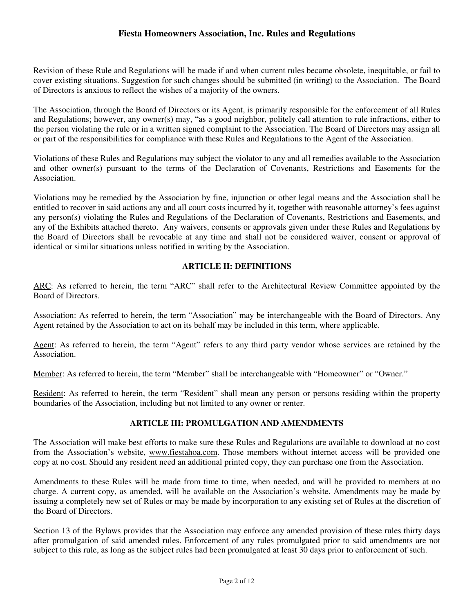Revision of these Rule and Regulations will be made if and when current rules became obsolete, inequitable, or fail to cover existing situations. Suggestion for such changes should be submitted (in writing) to the Association. The Board of Directors is anxious to reflect the wishes of a majority of the owners.

The Association, through the Board of Directors or its Agent, is primarily responsible for the enforcement of all Rules and Regulations; however, any owner(s) may, "as a good neighbor, politely call attention to rule infractions, either to the person violating the rule or in a written signed complaint to the Association. The Board of Directors may assign all or part of the responsibilities for compliance with these Rules and Regulations to the Agent of the Association.

Violations of these Rules and Regulations may subject the violator to any and all remedies available to the Association and other owner(s) pursuant to the terms of the Declaration of Covenants, Restrictions and Easements for the Association.

Violations may be remedied by the Association by fine, injunction or other legal means and the Association shall be entitled to recover in said actions any and all court costs incurred by it, together with reasonable attorney's fees against any person(s) violating the Rules and Regulations of the Declaration of Covenants, Restrictions and Easements, and any of the Exhibits attached thereto. Any waivers, consents or approvals given under these Rules and Regulations by the Board of Directors shall be revocable at any time and shall not be considered waiver, consent or approval of identical or similar situations unless notified in writing by the Association.

#### **ARTICLE II: DEFINITIONS**

ARC: As referred to herein, the term "ARC" shall refer to the Architectural Review Committee appointed by the Board of Directors.

Association: As referred to herein, the term "Association" may be interchangeable with the Board of Directors. Any Agent retained by the Association to act on its behalf may be included in this term, where applicable.

Agent: As referred to herein, the term "Agent" refers to any third party vendor whose services are retained by the Association.

Member: As referred to herein, the term "Member" shall be interchangeable with "Homeowner" or "Owner."

Resident: As referred to herein, the term "Resident" shall mean any person or persons residing within the property boundaries of the Association, including but not limited to any owner or renter.

#### **ARTICLE III: PROMULGATION AND AMENDMENTS**

The Association will make best efforts to make sure these Rules and Regulations are available to download at no cost from the Association's website, www.fiestahoa.com. Those members without internet access will be provided one copy at no cost. Should any resident need an additional printed copy, they can purchase one from the Association.

Amendments to these Rules will be made from time to time, when needed, and will be provided to members at no charge. A current copy, as amended, will be available on the Association's website. Amendments may be made by issuing a completely new set of Rules or may be made by incorporation to any existing set of Rules at the discretion of the Board of Directors.

Section 13 of the Bylaws provides that the Association may enforce any amended provision of these rules thirty days after promulgation of said amended rules. Enforcement of any rules promulgated prior to said amendments are not subject to this rule, as long as the subject rules had been promulgated at least 30 days prior to enforcement of such.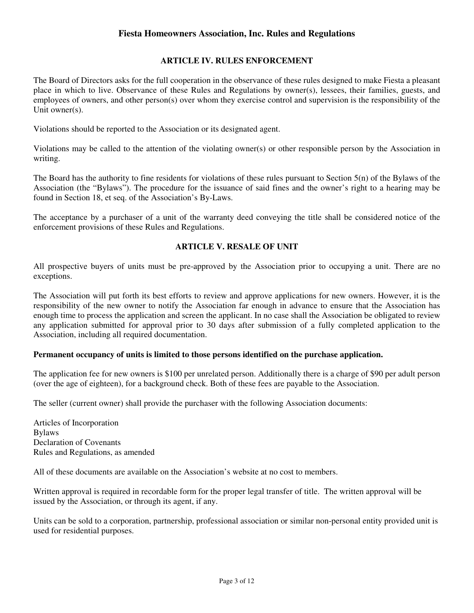#### **ARTICLE IV. RULES ENFORCEMENT**

The Board of Directors asks for the full cooperation in the observance of these rules designed to make Fiesta a pleasant place in which to live. Observance of these Rules and Regulations by owner(s), lessees, their families, guests, and employees of owners, and other person(s) over whom they exercise control and supervision is the responsibility of the Unit owner(s).

Violations should be reported to the Association or its designated agent.

Violations may be called to the attention of the violating owner(s) or other responsible person by the Association in writing.

The Board has the authority to fine residents for violations of these rules pursuant to Section 5(n) of the Bylaws of the Association (the "Bylaws"). The procedure for the issuance of said fines and the owner's right to a hearing may be found in Section 18, et seq. of the Association's By-Laws.

The acceptance by a purchaser of a unit of the warranty deed conveying the title shall be considered notice of the enforcement provisions of these Rules and Regulations.

## **ARTICLE V. RESALE OF UNIT**

All prospective buyers of units must be pre-approved by the Association prior to occupying a unit. There are no exceptions.

The Association will put forth its best efforts to review and approve applications for new owners. However, it is the responsibility of the new owner to notify the Association far enough in advance to ensure that the Association has enough time to process the application and screen the applicant. In no case shall the Association be obligated to review any application submitted for approval prior to 30 days after submission of a fully completed application to the Association, including all required documentation.

#### **Permanent occupancy of units is limited to those persons identified on the purchase application.**

The application fee for new owners is \$100 per unrelated person. Additionally there is a charge of \$90 per adult person (over the age of eighteen), for a background check. Both of these fees are payable to the Association.

The seller (current owner) shall provide the purchaser with the following Association documents:

Articles of Incorporation Bylaws Declaration of Covenants Rules and Regulations, as amended

All of these documents are available on the Association's website at no cost to members.

Written approval is required in recordable form for the proper legal transfer of title. The written approval will be issued by the Association, or through its agent, if any.

Units can be sold to a corporation, partnership, professional association or similar non-personal entity provided unit is used for residential purposes.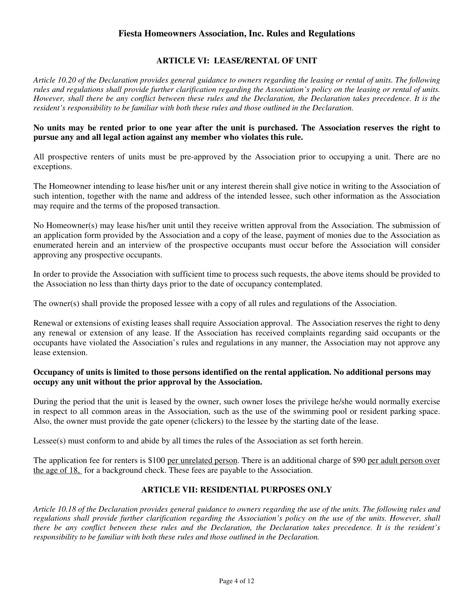#### **ARTICLE VI: LEASE/RENTAL OF UNIT**

*Article 10.20 of the Declaration provides general guidance to owners regarding the leasing or rental of units. The following rules and regulations shall provide further clarification regarding the Association's policy on the leasing or rental of units. However, shall there be any conflict between these rules and the Declaration, the Declaration takes precedence. It is the resident's responsibility to be familiar with both these rules and those outlined in the Declaration.* 

#### **No units may be rented prior to one year after the unit is purchased. The Association reserves the right to pursue any and all legal action against any member who violates this rule.**

All prospective renters of units must be pre-approved by the Association prior to occupying a unit. There are no exceptions.

The Homeowner intending to lease his/her unit or any interest therein shall give notice in writing to the Association of such intention, together with the name and address of the intended lessee, such other information as the Association may require and the terms of the proposed transaction.

No Homeowner(s) may lease his/her unit until they receive written approval from the Association. The submission of an application form provided by the Association and a copy of the lease, payment of monies due to the Association as enumerated herein and an interview of the prospective occupants must occur before the Association will consider approving any prospective occupants.

In order to provide the Association with sufficient time to process such requests, the above items should be provided to the Association no less than thirty days prior to the date of occupancy contemplated.

The owner(s) shall provide the proposed lessee with a copy of all rules and regulations of the Association.

Renewal or extensions of existing leases shall require Association approval. The Association reserves the right to deny any renewal or extension of any lease. If the Association has received complaints regarding said occupants or the occupants have violated the Association's rules and regulations in any manner, the Association may not approve any lease extension.

#### **Occupancy of units is limited to those persons identified on the rental application. No additional persons may occupy any unit without the prior approval by the Association.**

During the period that the unit is leased by the owner, such owner loses the privilege he/she would normally exercise in respect to all common areas in the Association, such as the use of the swimming pool or resident parking space. Also, the owner must provide the gate opener (clickers) to the lessee by the starting date of the lease.

Lessee(s) must conform to and abide by all times the rules of the Association as set forth herein.

The application fee for renters is \$100 per unrelated person. There is an additional charge of \$90 per adult person over the age of 18, for a background check. These fees are payable to the Association.

## **ARTICLE VII: RESIDENTIAL PURPOSES ONLY**

*Article 10.18 of the Declaration provides general guidance to owners regarding the use of the units. The following rules and regulations shall provide further clarification regarding the Association's policy on the use of the units. However, shall there be any conflict between these rules and the Declaration, the Declaration takes precedence. It is the resident's responsibility to be familiar with both these rules and those outlined in the Declaration.*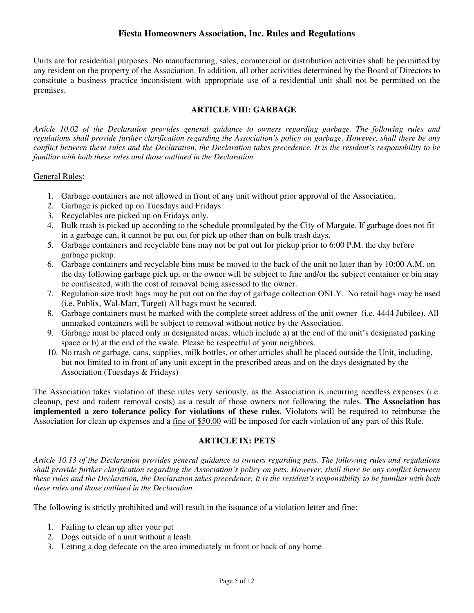Units are for residential purposes. No manufacturing, sales, commercial or distribution activities shall be permitted by any resident on the property of the Association. In addition, all other activities determined by the Board of Directors to constitute a business practice inconsistent with appropriate use of a residential unit shall not be permitted on the premises.

#### **ARTICLE VIII: GARBAGE**

*Article 10.02 of the Declaration provides general guidance to owners regarding garbage. The following rules and regulations shall provide further clarification regarding the Association's policy on garbage. However, shall there be any conflict between these rules and the Declaration, the Declaration takes precedence. It is the resident's responsibility to be familiar with both these rules and those outlined in the Declaration.* 

#### General Rules:

- 1. Garbage containers are not allowed in front of any unit without prior approval of the Association.
- 2. Garbage is picked up on Tuesdays and Fridays.
- 3. Recyclables are picked up on Fridays only.
- 4. Bulk trash is picked up according to the schedule promulgated by the City of Margate. If garbage does not fit in a garbage can, it cannot be put out for pick up other than on bulk trash days.
- 5. Garbage containers and recyclable bins may not be put out for pickup prior to 6:00 P.M. the day before garbage pickup.
- 6. Garbage containers and recyclable bins must be moved to the back of the unit no later than by 10:00 A.M. on the day following garbage pick up, or the owner will be subject to fine and/or the subject container or bin may be confiscated, with the cost of removal being assessed to the owner.
- 7. Regulation size trash bags may be put out on the day of garbage collection ONLY. No retail bags may be used (i.e. Publix, Wal-Mart, Target) All bags must be secured.
- 8. Garbage containers must be marked with the complete street address of the unit owner (i.e. 4444 Jubilee). All unmarked containers will be subject to removal without notice by the Association.
- 9. Garbage must be placed only in designated areas, which include a) at the end of the unit's designated parking space or b) at the end of the swale. Please be respectful of your neighbors.
- 10. No trash or garbage, cans, supplies, milk bottles, or other articles shall be placed outside the Unit, including, but not limited to in front of any unit except in the prescribed areas and on the days designated by the Association (Tuesdays & Fridays)

The Association takes violation of these rules very seriously, as the Association is incurring needless expenses (i.e. cleanup, pest and rodent removal costs) as a result of those owners not following the rules. **The Association has implemented a zero tolerance policy for violations of these rules**. Violators will be required to reimburse the Association for clean up expenses and a fine of \$50.00 will be imposed for each violation of any part of this Rule.

#### **ARTICLE IX: PETS**

*Article 10.13 of the Declaration provides general guidance to owners regarding pets. The following rules and regulations shall provide further clarification regarding the Association's policy on pets. However, shall there be any conflict between these rules and the Declaration, the Declaration takes precedence. It is the resident's responsibility to be familiar with both these rules and those outlined in the Declaration.* 

The following is strictly prohibited and will result in the issuance of a violation letter and fine:

- 1. Failing to clean up after your pet
- 2. Dogs outside of a unit without a leash
- 3. Letting a dog defecate on the area immediately in front or back of any home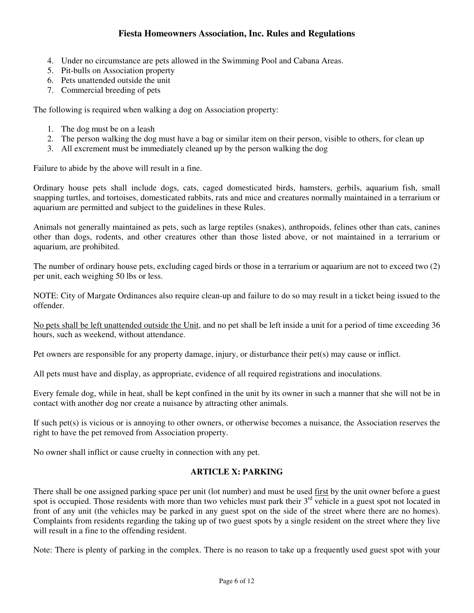- 4. Under no circumstance are pets allowed in the Swimming Pool and Cabana Areas.
- 5. Pit-bulls on Association property
- 6. Pets unattended outside the unit
- 7. Commercial breeding of pets

The following is required when walking a dog on Association property:

- 1. The dog must be on a leash
- 2. The person walking the dog must have a bag or similar item on their person, visible to others, for clean up
- 3. All excrement must be immediately cleaned up by the person walking the dog

Failure to abide by the above will result in a fine.

Ordinary house pets shall include dogs, cats, caged domesticated birds, hamsters, gerbils, aquarium fish, small snapping turtles, and tortoises, domesticated rabbits, rats and mice and creatures normally maintained in a terrarium or aquarium are permitted and subject to the guidelines in these Rules.

Animals not generally maintained as pets, such as large reptiles (snakes), anthropoids, felines other than cats, canines other than dogs, rodents, and other creatures other than those listed above, or not maintained in a terrarium or aquarium, are prohibited.

The number of ordinary house pets, excluding caged birds or those in a terrarium or aquarium are not to exceed two (2) per unit, each weighing 50 lbs or less.

NOTE: City of Margate Ordinances also require clean-up and failure to do so may result in a ticket being issued to the offender.

No pets shall be left unattended outside the Unit, and no pet shall be left inside a unit for a period of time exceeding 36 hours, such as weekend, without attendance.

Pet owners are responsible for any property damage, injury, or disturbance their pet(s) may cause or inflict.

All pets must have and display, as appropriate, evidence of all required registrations and inoculations.

Every female dog, while in heat, shall be kept confined in the unit by its owner in such a manner that she will not be in contact with another dog nor create a nuisance by attracting other animals.

If such pet(s) is vicious or is annoying to other owners, or otherwise becomes a nuisance, the Association reserves the right to have the pet removed from Association property.

No owner shall inflict or cause cruelty in connection with any pet.

## **ARTICLE X: PARKING**

There shall be one assigned parking space per unit (lot number) and must be used first by the unit owner before a guest spot is occupied. Those residents with more than two vehicles must park their 3<sup>rd</sup> vehicle in a guest spot not located in front of any unit (the vehicles may be parked in any guest spot on the side of the street where there are no homes). Complaints from residents regarding the taking up of two guest spots by a single resident on the street where they live will result in a fine to the offending resident.

Note: There is plenty of parking in the complex. There is no reason to take up a frequently used guest spot with your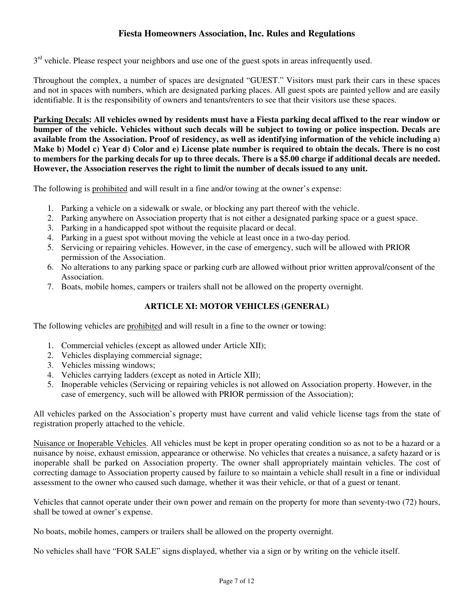3<sup>rd</sup> vehicle. Please respect your neighbors and use one of the guest spots in areas infrequently used.

Throughout the complex, a number of spaces are designated "GUEST." Visitors must park their cars in these spaces and not in spaces with numbers, which are designated parking places. All guest spots are painted yellow and are easily identifiable. It is the responsibility of owners and tenants/renters to see that their visitors use these spaces.

**Parking Decals: All vehicles owned by residents must have a Fiesta parking decal affixed to the rear window or bumper of the vehicle. Vehicles without such decals will be subject to towing or police inspection. Decals are available from the Association. Proof of residency, as well as identifying information of the vehicle including a) Make b) Model c) Year d) Color and e) License plate number is required to obtain the decals. There is no cost to members for the parking decals for up to three decals. There is a \$5.00 charge if additional decals are needed. However, the Association reserves the right to limit the number of decals issued to any unit.** 

The following is prohibited and will result in a fine and/or towing at the owner's expense:

- 1. Parking a vehicle on a sidewalk or swale, or blocking any part thereof with the vehicle.
- 2. Parking anywhere on Association property that is not either a designated parking space or a guest space.
- 3. Parking in a handicapped spot without the requisite placard or decal.
- 4. Parking in a guest spot without moving the vehicle at least once in a two-day period.
- 5. Servicing or repairing vehicles. However, in the case of emergency, such will be allowed with PRIOR permission of the Association.
- 6. No alterations to any parking space or parking curb are allowed without prior written approval/consent of the Association.
- 7. Boats, mobile homes, campers or trailers shall not be allowed on the property overnight.

## **ARTICLE XI: MOTOR VEHICLES (GENERAL)**

The following vehicles are prohibited and will result in a fine to the owner or towing:

- 1. Commercial vehicles (except as allowed under Article XII);
- 2. Vehicles displaying commercial signage;
- 3. Vehicles missing windows;
- 4. Vehicles carrying ladders (except as noted in Article XII);
- 5. Inoperable vehicles (Servicing or repairing vehicles is not allowed on Association property. However, in the case of emergency, such will be allowed with PRIOR permission of the Association);

All vehicles parked on the Association's property must have current and valid vehicle license tags from the state of registration properly attached to the vehicle.

Nuisance or Inoperable Vehicles. All vehicles must be kept in proper operating condition so as not to be a hazard or a nuisance by noise, exhaust emission, appearance or otherwise. No vehicles that creates a nuisance, a safety hazard or is inoperable shall be parked on Association property. The owner shall appropriately maintain vehicles. The cost of correcting damage to Association property caused by failure to so maintain a vehicle shall result in a fine or individual assessment to the owner who caused such damage, whether it was their vehicle, or that of a guest or tenant.

Vehicles that cannot operate under their own power and remain on the property for more than seventy-two (72) hours, shall be towed at owner's expense.

No boats, mobile homes, campers or trailers shall be allowed on the property overnight.

No vehicles shall have "FOR SALE" signs displayed, whether via a sign or by writing on the vehicle itself.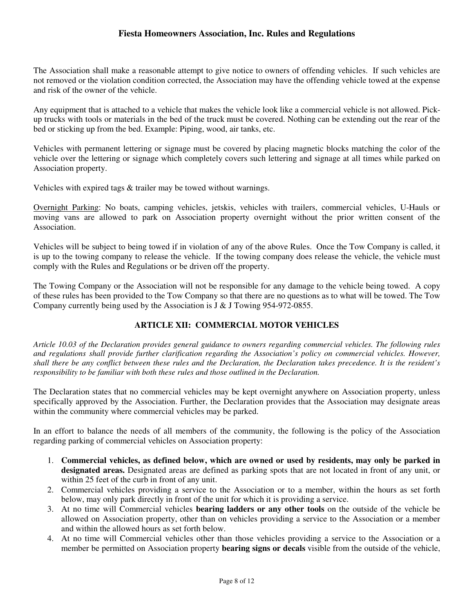The Association shall make a reasonable attempt to give notice to owners of offending vehicles. If such vehicles are not removed or the violation condition corrected, the Association may have the offending vehicle towed at the expense and risk of the owner of the vehicle.

Any equipment that is attached to a vehicle that makes the vehicle look like a commercial vehicle is not allowed. Pickup trucks with tools or materials in the bed of the truck must be covered. Nothing can be extending out the rear of the bed or sticking up from the bed. Example: Piping, wood, air tanks, etc.

Vehicles with permanent lettering or signage must be covered by placing magnetic blocks matching the color of the vehicle over the lettering or signage which completely covers such lettering and signage at all times while parked on Association property.

Vehicles with expired tags & trailer may be towed without warnings.

Overnight Parking: No boats, camping vehicles, jetskis, vehicles with trailers, commercial vehicles, U-Hauls or moving vans are allowed to park on Association property overnight without the prior written consent of the Association.

Vehicles will be subject to being towed if in violation of any of the above Rules. Once the Tow Company is called, it is up to the towing company to release the vehicle. If the towing company does release the vehicle, the vehicle must comply with the Rules and Regulations or be driven off the property.

The Towing Company or the Association will not be responsible for any damage to the vehicle being towed. A copy of these rules has been provided to the Tow Company so that there are no questions as to what will be towed. The Tow Company currently being used by the Association is J & J Towing 954-972-0855.

## **ARTICLE XII: COMMERCIAL MOTOR VEHICLES**

*Article 10.03 of the Declaration provides general guidance to owners regarding commercial vehicles. The following rules and regulations shall provide further clarification regarding the Association's policy on commercial vehicles. However, shall there be any conflict between these rules and the Declaration, the Declaration takes precedence. It is the resident's responsibility to be familiar with both these rules and those outlined in the Declaration.*

The Declaration states that no commercial vehicles may be kept overnight anywhere on Association property, unless specifically approved by the Association. Further, the Declaration provides that the Association may designate areas within the community where commercial vehicles may be parked.

In an effort to balance the needs of all members of the community, the following is the policy of the Association regarding parking of commercial vehicles on Association property:

- 1. **Commercial vehicles, as defined below, which are owned or used by residents, may only be parked in designated areas.** Designated areas are defined as parking spots that are not located in front of any unit, or within 25 feet of the curb in front of any unit.
- 2. Commercial vehicles providing a service to the Association or to a member, within the hours as set forth below, may only park directly in front of the unit for which it is providing a service.
- 3. At no time will Commercial vehicles **bearing ladders or any other tools** on the outside of the vehicle be allowed on Association property, other than on vehicles providing a service to the Association or a member and within the allowed hours as set forth below.
- 4. At no time will Commercial vehicles other than those vehicles providing a service to the Association or a member be permitted on Association property **bearing signs or decals** visible from the outside of the vehicle,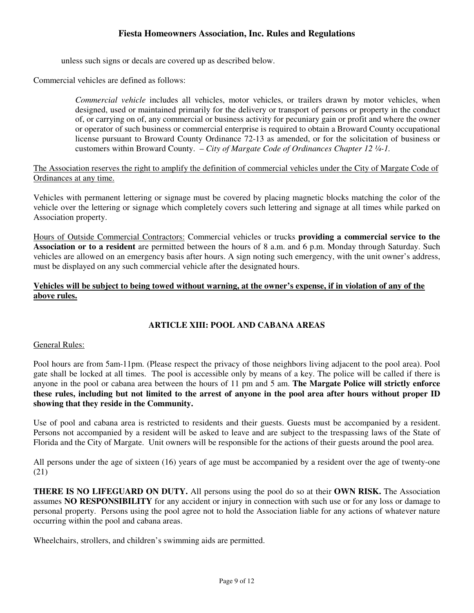unless such signs or decals are covered up as described below.

Commercial vehicles are defined as follows:

*Commercial vehicle* includes all vehicles, motor vehicles, or trailers drawn by motor vehicles, when designed, used or maintained primarily for the delivery or transport of persons or property in the conduct of, or carrying on of, any commercial or business activity for pecuniary gain or profit and where the owner or operator of such business or commercial enterprise is required to obtain a Broward County occupational license pursuant to Broward County Ordinance 72-13 as amended, or for the solicitation of business or customers within Broward County. – *City of Margate Code of Ordinances Chapter 12 ¼-1.*

The Association reserves the right to amplify the definition of commercial vehicles under the City of Margate Code of Ordinances at any time.

Vehicles with permanent lettering or signage must be covered by placing magnetic blocks matching the color of the vehicle over the lettering or signage which completely covers such lettering and signage at all times while parked on Association property.

Hours of Outside Commercial Contractors: Commercial vehicles or trucks **providing a commercial service to the Association or to a resident** are permitted between the hours of 8 a.m. and 6 p.m. Monday through Saturday. Such vehicles are allowed on an emergency basis after hours. A sign noting such emergency, with the unit owner's address, must be displayed on any such commercial vehicle after the designated hours.

## **Vehicles will be subject to being towed without warning, at the owner's expense, if in violation of any of the above rules.**

## **ARTICLE XIII: POOL AND CABANA AREAS**

### General Rules:

Pool hours are from 5am-11pm. (Please respect the privacy of those neighbors living adjacent to the pool area). Pool gate shall be locked at all times. The pool is accessible only by means of a key. The police will be called if there is anyone in the pool or cabana area between the hours of 11 pm and 5 am. **The Margate Police will strictly enforce these rules, including but not limited to the arrest of anyone in the pool area after hours without proper ID showing that they reside in the Community.** 

Use of pool and cabana area is restricted to residents and their guests. Guests must be accompanied by a resident. Persons not accompanied by a resident will be asked to leave and are subject to the trespassing laws of the State of Florida and the City of Margate. Unit owners will be responsible for the actions of their guests around the pool area.

All persons under the age of sixteen (16) years of age must be accompanied by a resident over the age of twenty-one (21)

**THERE IS NO LIFEGUARD ON DUTY.** All persons using the pool do so at their **OWN RISK.** The Association assumes **NO RESPONSIBILITY** for any accident or injury in connection with such use or for any loss or damage to personal property. Persons using the pool agree not to hold the Association liable for any actions of whatever nature occurring within the pool and cabana areas.

Wheelchairs, strollers, and children's swimming aids are permitted.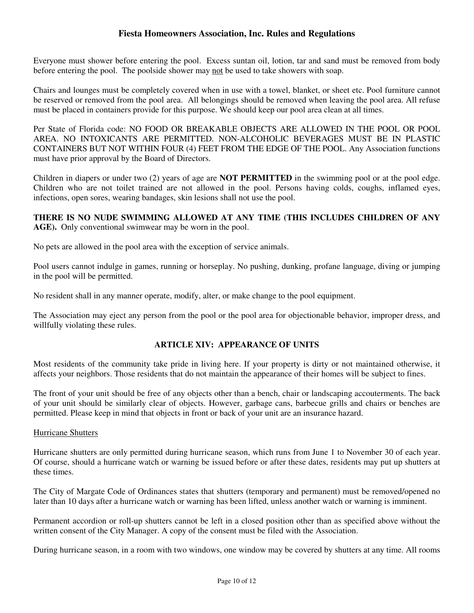Everyone must shower before entering the pool. Excess suntan oil, lotion, tar and sand must be removed from body before entering the pool. The poolside shower may not be used to take showers with soap.

Chairs and lounges must be completely covered when in use with a towel, blanket, or sheet etc. Pool furniture cannot be reserved or removed from the pool area. All belongings should be removed when leaving the pool area. All refuse must be placed in containers provide for this purpose. We should keep our pool area clean at all times.

Per State of Florida code: NO FOOD OR BREAKABLE OBJECTS ARE ALLOWED IN THE POOL OR POOL AREA. NO INTOXICANTS ARE PERMITTED. NON-ALCOHOLIC BEVERAGES MUST BE IN PLASTIC CONTAINERS BUT NOT WITHIN FOUR (4) FEET FROM THE EDGE OF THE POOL. Any Association functions must have prior approval by the Board of Directors.

Children in diapers or under two (2) years of age are **NOT PERMITTED** in the swimming pool or at the pool edge. Children who are not toilet trained are not allowed in the pool. Persons having colds, coughs, inflamed eyes, infections, open sores, wearing bandages, skin lesions shall not use the pool.

## **THERE IS NO NUDE SWIMMING ALLOWED AT ANY TIME (THIS INCLUDES CHILDREN OF ANY AGE).** Only conventional swimwear may be worn in the pool.

No pets are allowed in the pool area with the exception of service animals.

Pool users cannot indulge in games, running or horseplay. No pushing, dunking, profane language, diving or jumping in the pool will be permitted.

No resident shall in any manner operate, modify, alter, or make change to the pool equipment.

The Association may eject any person from the pool or the pool area for objectionable behavior, improper dress, and willfully violating these rules.

## **ARTICLE XIV: APPEARANCE OF UNITS**

Most residents of the community take pride in living here. If your property is dirty or not maintained otherwise, it affects your neighbors. Those residents that do not maintain the appearance of their homes will be subject to fines.

The front of your unit should be free of any objects other than a bench, chair or landscaping accouterments. The back of your unit should be similarly clear of objects. However, garbage cans, barbecue grills and chairs or benches are permitted. Please keep in mind that objects in front or back of your unit are an insurance hazard.

#### Hurricane Shutters

Hurricane shutters are only permitted during hurricane season, which runs from June 1 to November 30 of each year. Of course, should a hurricane watch or warning be issued before or after these dates, residents may put up shutters at these times.

The City of Margate Code of Ordinances states that shutters (temporary and permanent) must be removed/opened no later than 10 days after a hurricane watch or warning has been lifted, unless another watch or warning is imminent.

Permanent accordion or roll-up shutters cannot be left in a closed position other than as specified above without the written consent of the City Manager. A copy of the consent must be filed with the Association.

During hurricane season, in a room with two windows, one window may be covered by shutters at any time. All rooms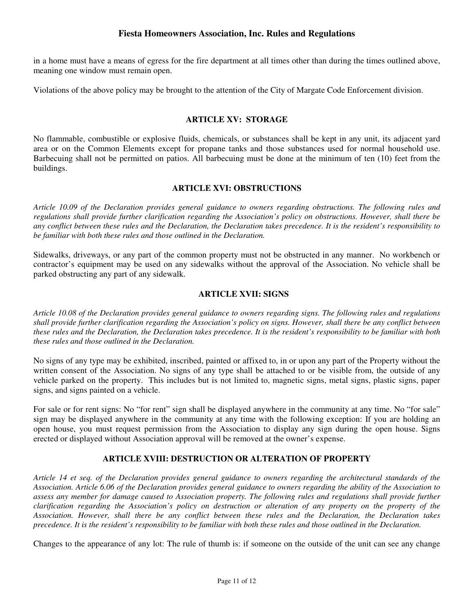in a home must have a means of egress for the fire department at all times other than during the times outlined above, meaning one window must remain open.

Violations of the above policy may be brought to the attention of the City of Margate Code Enforcement division.

## **ARTICLE XV: STORAGE**

No flammable, combustible or explosive fluids, chemicals, or substances shall be kept in any unit, its adjacent yard area or on the Common Elements except for propane tanks and those substances used for normal household use. Barbecuing shall not be permitted on patios. All barbecuing must be done at the minimum of ten (10) feet from the buildings.

#### **ARTICLE XVI: OBSTRUCTIONS**

*Article 10.09 of the Declaration provides general guidance to owners regarding obstructions. The following rules and regulations shall provide further clarification regarding the Association's policy on obstructions. However, shall there be any conflict between these rules and the Declaration, the Declaration takes precedence. It is the resident's responsibility to be familiar with both these rules and those outlined in the Declaration.* 

Sidewalks, driveways, or any part of the common property must not be obstructed in any manner. No workbench or contractor's equipment may be used on any sidewalks without the approval of the Association. No vehicle shall be parked obstructing any part of any sidewalk.

### **ARTICLE XVII: SIGNS**

*Article 10.08 of the Declaration provides general guidance to owners regarding signs. The following rules and regulations shall provide further clarification regarding the Association's policy on signs. However, shall there be any conflict between these rules and the Declaration, the Declaration takes precedence. It is the resident's responsibility to be familiar with both these rules and those outlined in the Declaration.* 

No signs of any type may be exhibited, inscribed, painted or affixed to, in or upon any part of the Property without the written consent of the Association. No signs of any type shall be attached to or be visible from, the outside of any vehicle parked on the property. This includes but is not limited to, magnetic signs, metal signs, plastic signs, paper signs, and signs painted on a vehicle.

For sale or for rent signs: No "for rent" sign shall be displayed anywhere in the community at any time. No "for sale" sign may be displayed anywhere in the community at any time with the following exception: If you are holding an open house, you must request permission from the Association to display any sign during the open house. Signs erected or displayed without Association approval will be removed at the owner's expense.

#### **ARTICLE XVIII: DESTRUCTION OR ALTERATION OF PROPERTY**

*Article 14 et seq. of the Declaration provides general guidance to owners regarding the architectural standards of the Association. Article 6.06 of the Declaration provides general guidance to owners regarding the ability of the Association to assess any member for damage caused to Association property. The following rules and regulations shall provide further clarification regarding the Association's policy on destruction or alteration of any property on the property of the Association. However, shall there be any conflict between these rules and the Declaration, the Declaration takes precedence. It is the resident's responsibility to be familiar with both these rules and those outlined in the Declaration.* 

Changes to the appearance of any lot: The rule of thumb is: if someone on the outside of the unit can see any change